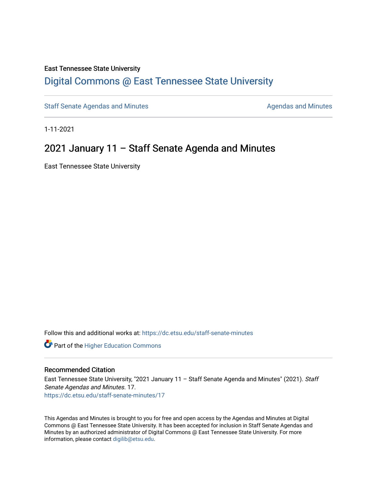#### East Tennessee State University

# [Digital Commons @ East Tennessee State University](https://dc.etsu.edu/)

[Staff Senate Agendas and Minutes](https://dc.etsu.edu/staff-senate-minutes) **Agent Agent Staff Senate Agendas and Minutes** Agendas and Minutes

1-11-2021

# 2021 January 11 – Staff Senate Agenda and Minutes

East Tennessee State University

Follow this and additional works at: [https://dc.etsu.edu/staff-senate-minutes](https://dc.etsu.edu/staff-senate-minutes?utm_source=dc.etsu.edu%2Fstaff-senate-minutes%2F17&utm_medium=PDF&utm_campaign=PDFCoverPages)

**Part of the Higher Education Commons** 

#### Recommended Citation

East Tennessee State University, "2021 January 11 - Staff Senate Agenda and Minutes" (2021). Staff Senate Agendas and Minutes. 17. [https://dc.etsu.edu/staff-senate-minutes/17](https://dc.etsu.edu/staff-senate-minutes/17?utm_source=dc.etsu.edu%2Fstaff-senate-minutes%2F17&utm_medium=PDF&utm_campaign=PDFCoverPages) 

This Agendas and Minutes is brought to you for free and open access by the Agendas and Minutes at Digital Commons @ East Tennessee State University. It has been accepted for inclusion in Staff Senate Agendas and Minutes by an authorized administrator of Digital Commons @ East Tennessee State University. For more information, please contact [digilib@etsu.edu.](mailto:digilib@etsu.edu)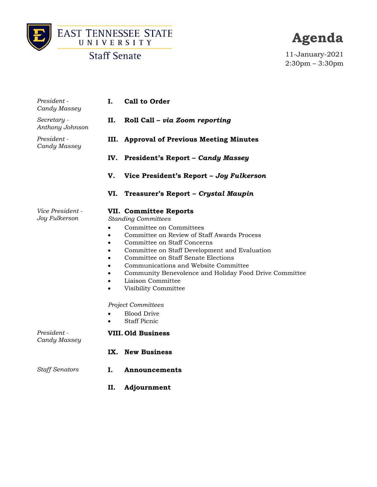



**Agenda**

11-January-2021 2:30pm – 3:30pm

| President -<br>Candy Massey       | <b>Call to Order</b><br>Ι.                                                                                                                                                                                                                                                                                                                                                                                                                                                    |
|-----------------------------------|-------------------------------------------------------------------------------------------------------------------------------------------------------------------------------------------------------------------------------------------------------------------------------------------------------------------------------------------------------------------------------------------------------------------------------------------------------------------------------|
| Secretary -<br>Anthony Johnson    | II.<br>Roll Call – via Zoom reporting                                                                                                                                                                                                                                                                                                                                                                                                                                         |
| President -<br>Candy Massey       | <b>Approval of Previous Meeting Minutes</b><br>III.                                                                                                                                                                                                                                                                                                                                                                                                                           |
|                                   | President's Report - Candy Massey<br>IV.                                                                                                                                                                                                                                                                                                                                                                                                                                      |
|                                   | V.<br>Vice President's Report - Joy Fulkerson                                                                                                                                                                                                                                                                                                                                                                                                                                 |
|                                   | VI.<br>Treasurer's Report - Crystal Maupin                                                                                                                                                                                                                                                                                                                                                                                                                                    |
| Vice President -<br>Joy Fulkerson | VII. Committee Reports<br><b>Standing Committees</b><br>Committee on Committees<br>Committee on Review of Staff Awards Process<br>٠<br>Committee on Staff Concerns<br>Committee on Staff Development and Evaluation<br>Committee on Staff Senate Elections<br>Communications and Website Committee<br>Community Benevolence and Holiday Food Drive Committee<br>$\bullet$<br>Liaison Committee<br>$\bullet$<br>Visibility Committee<br>$\bullet$<br><b>Project Committees</b> |
|                                   | <b>Blood Drive</b><br><b>Staff Picnic</b>                                                                                                                                                                                                                                                                                                                                                                                                                                     |
| President -<br>Candy Massey       | <b>VIII. Old Business</b>                                                                                                                                                                                                                                                                                                                                                                                                                                                     |
|                                   | IX. New Business                                                                                                                                                                                                                                                                                                                                                                                                                                                              |
| <b>Staff Senators</b>             | Ι.<br>Announcements                                                                                                                                                                                                                                                                                                                                                                                                                                                           |
|                                   | II.<br>Adjournment                                                                                                                                                                                                                                                                                                                                                                                                                                                            |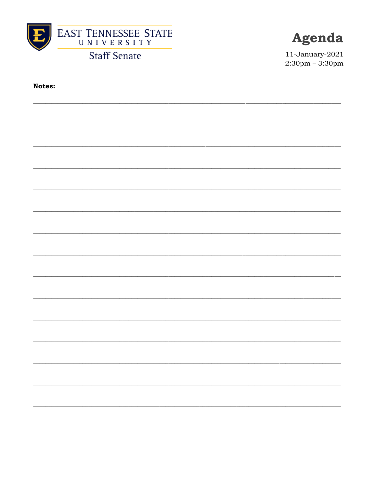



11-January-2021  $2:30 \text{pm} - 3:30 \text{pm}$ 

**Notes:**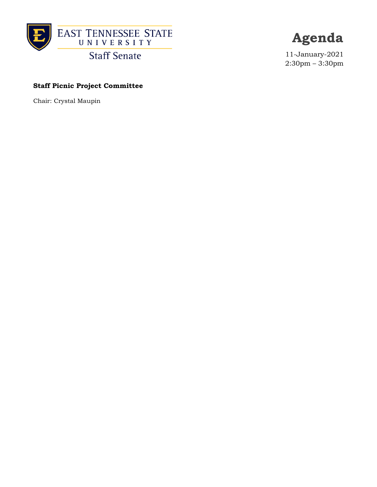



11-January-2021 2:30pm – 3:30pm

# **Staff Picnic Project Committee**

Chair: Crystal Maupin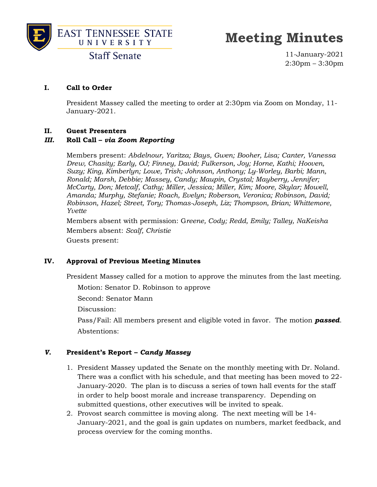



**Staff Senate** 

11-January-2021 2:30pm – 3:30pm

# **I. Call to Order**

President Massey called the meeting to order at 2:30pm via Zoom on Monday, 11- January-2021.

# **II. Guest Presenters**

# *III.* **Roll Call –** *via Zoom Reporting*

Members present: *Abdelnour, Yaritza; Bays, Gwen; Booher, Lisa; Canter, Vanessa Drew, Chasity; Early, OJ; Finney, David; Fulkerson, Joy; Horne, Kathi; Hooven, Suzy; King, Kimberlyn; Lowe, Trish; Johnson, Anthony; Ly-Worley, Barbi; Mann, Ronald; Marsh, Debbie; Massey, Candy; Maupin, Crystal; Mayberry, Jennifer; McCarty, Don; Metcalf, Cathy; Miller, Jessica; Miller, Kim; Moore, Skylar; Mowell, Amanda; Murphy, Stefanie; Roach, Evelyn; Roberson, Veronica; Robinson, David; Robinson, Hazel; Street, Tory; Thomas-Joseph, Liz; Thompson, Brian; Whittemore, Yvette*

Members absent with permission: G*reene, Cody; Redd, Emily; Talley, NaKeisha* Members absent: *Scalf, Christie* Guests present:

# **IV. Approval of Previous Meeting Minutes**

President Massey called for a motion to approve the minutes from the last meeting.

Motion: Senator D. Robinson to approve

Second: Senator Mann

Discussion:

Pass/Fail: All members present and eligible voted in favor. The motion *passed*. Abstentions:

# *V.* **President's Report –** *Candy Massey*

- 1. President Massey updated the Senate on the monthly meeting with Dr. Noland. There was a conflict with his schedule, and that meeting has been moved to 22- January-2020. The plan is to discuss a series of town hall events for the staff in order to help boost morale and increase transparency. Depending on submitted questions, other executives will be invited to speak.
- 2. Provost search committee is moving along. The next meeting will be 14- January-2021, and the goal is gain updates on numbers, market feedback, and process overview for the coming months.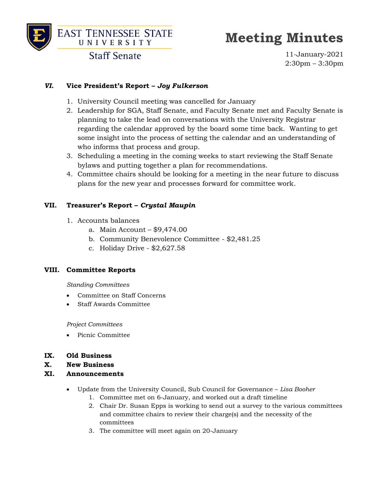

# **Meeting Minutes**

11-January-2021 2:30pm – 3:30pm

# *VI.* **Vice President's Report –** *Joy Fulkerson*

- 1. University Council meeting was cancelled for January
- 2. Leadership for SGA, Staff Senate, and Faculty Senate met and Faculty Senate is planning to take the lead on conversations with the University Registrar regarding the calendar approved by the board some time back. Wanting to get some insight into the process of setting the calendar and an understanding of who informs that process and group.
- 3. Scheduling a meeting in the coming weeks to start reviewing the Staff Senate bylaws and putting together a plan for recommendations.
- 4. Committee chairs should be looking for a meeting in the near future to discuss plans for the new year and processes forward for committee work.

# **VII. Treasurer's Report –** *Crystal Maupin*

- 1. Accounts balances
	- a. Main Account \$9,474.00
	- b. Community Benevolence Committee \$2,481.25
	- c. Holiday Drive \$2,627.58

# **VIII. Committee Reports**

*Standing Committees*

- Committee on Staff Concerns
- Staff Awards Committee

*Project Committees*

- Picnic Committee
- **IX. Old Business**
- **X. New Business**
- **XI. Announcements**
	- Update from the University Council, Sub Council for Governance *Lisa Booher*
		- 1. Committee met on 6-January, and worked out a draft timeline
		- 2. Chair Dr. Susan Epps is working to send out a survey to the various committees and committee chairs to review their charge(s) and the necessity of the committees
		- 3. The committee will meet again on 20-January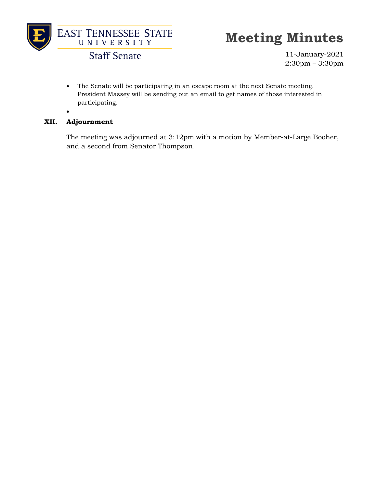

**Staff Senate** 

11-January-2021 2:30pm – 3:30pm

• The Senate will be participating in an escape room at the next Senate meeting. President Massey will be sending out an email to get names of those interested in participating.

#### **XII. Adjournment**

•

The meeting was adjourned at 3:12pm with a motion by Member-at-Large Booher, and a second from Senator Thompson.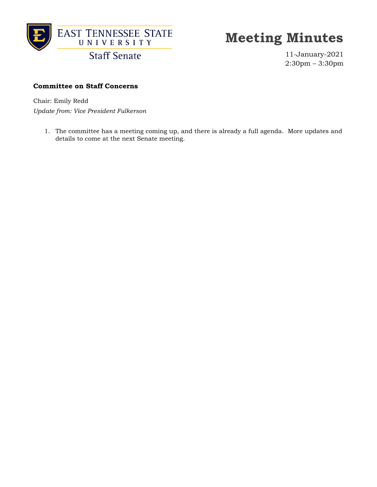

**Staff Senate** 

11-January-2021 2:30pm – 3:30pm

# **Committee on Staff Concerns**

Chair: Emily Redd

*Update from: Vice President Fulkerson*

1. The committee has a meeting coming up, and there is already a full agenda. More updates and details to come at the next Senate meeting.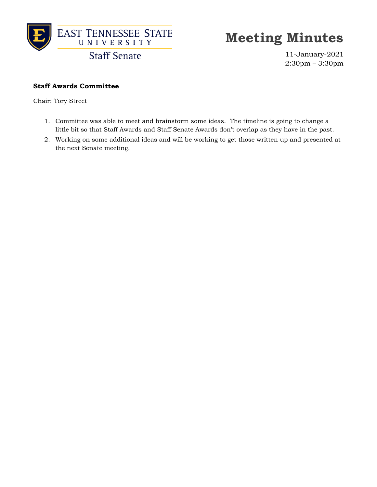

11-January-2021 2:30pm – 3:30pm

#### **Staff Awards Committee**

Chair: Tory Street

- 1. Committee was able to meet and brainstorm some ideas. The timeline is going to change a little bit so that Staff Awards and Staff Senate Awards don't overlap as they have in the past.
- 2. Working on some additional ideas and will be working to get those written up and presented at the next Senate meeting.